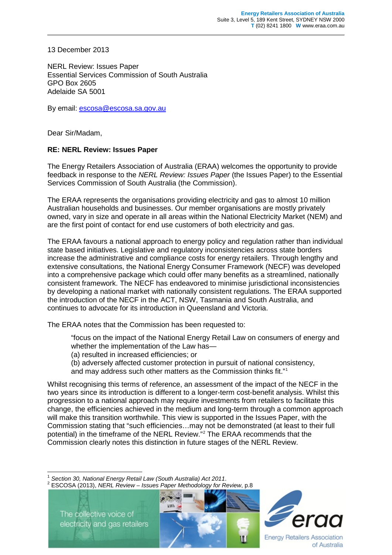13 December 2013

NERL Review: Issues Paper Essential Services Commission of South Australia GPO Box 2605 Adelaide SA 5001

By email: [escosa@escosa.sa.gov.au](mailto:escosa@escosa.sa.gov.au)

Dear Sir/Madam,

## **RE: NERL Review: Issues Paper**

The Energy Retailers Association of Australia (ERAA) welcomes the opportunity to provide feedback in response to the *NERL Review: Issues Paper* (the Issues Paper) to the Essential Services Commission of South Australia (the Commission).

The ERAA represents the organisations providing electricity and gas to almost 10 million Australian households and businesses. Our member organisations are mostly privately owned, vary in size and operate in all areas within the National Electricity Market (NEM) and are the first point of contact for end use customers of both electricity and gas.

The ERAA favours a national approach to energy policy and regulation rather than individual state based initiatives. Legislative and regulatory inconsistencies across state borders increase the administrative and compliance costs for energy retailers. Through lengthy and extensive consultations, the National Energy Consumer Framework (NECF) was developed into a comprehensive package which could offer many benefits as a streamlined, nationally consistent framework. The NECF has endeavored to minimise jurisdictional inconsistencies by developing a national market with nationally consistent regulations. The ERAA supported the introduction of the NECF in the ACT, NSW, Tasmania and South Australia, and continues to advocate for its introduction in Queensland and Victoria.

The ERAA notes that the Commission has been requested to:

"focus on the impact of the National Energy Retail Law on consumers of energy and whether the implementation of the Law has-

(a) resulted in increased efficiencies; or

(b) adversely affected customer protection in pursuit of national consistency, and may address such other matters as the Commission thinks fit." [1](#page-0-0)

Whilst recognising this terms of reference, an assessment of the impact of the NECF in the two years since its introduction is different to a longer-term cost-benefit analysis. Whilst this progression to a national approach may require investments from retailers to facilitate this change, the efficiencies achieved in the medium and long-term through a common approach will make this transition worthwhile. This view is supported in the Issues Paper, with the Commission stating that "such efficiencies…may not be demonstrated (at least to their full potential) in the timeframe of the NERL Review."[2](#page-0-1) The ERAA recommends that the Commission clearly notes this distinction in future stages of the NERL Review.

<sup>1</sup> *Section 30, National Energy Retail Law (South Australia) Act 2011*. <sup>2</sup> ESCOSA (2013), *NERL Review – Issues Paper Methodology for Review*, p.8

<span id="page-0-2"></span><span id="page-0-1"></span><span id="page-0-0"></span>